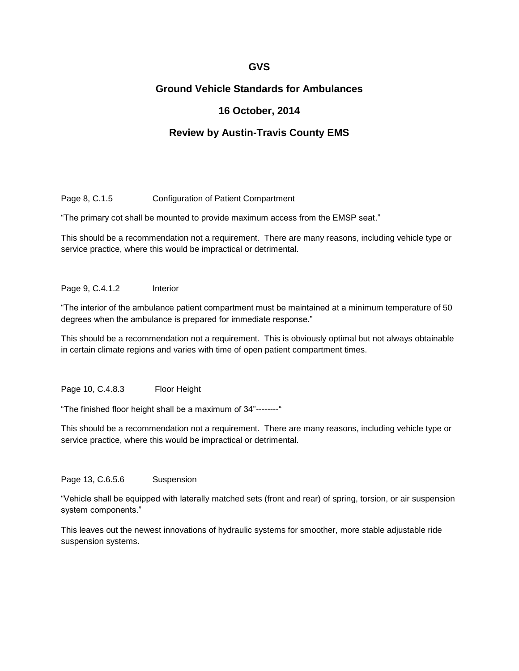# **GVS**

# **Ground Vehicle Standards for Ambulances**

# **16 October, 2014**

# **Review by Austin-Travis County EMS**

Page 8, C.1.5 Configuration of Patient Compartment

"The primary cot shall be mounted to provide maximum access from the EMSP seat."

This should be a recommendation not a requirement. There are many reasons, including vehicle type or service practice, where this would be impractical or detrimental.

#### Page 9, C.4.1.2 Interior

"The interior of the ambulance patient compartment must be maintained at a minimum temperature of 50 degrees when the ambulance is prepared for immediate response."

This should be a recommendation not a requirement. This is obviously optimal but not always obtainable in certain climate regions and varies with time of open patient compartment times.

Page 10, C.4.8.3 Floor Height

"The finished floor height shall be a maximum of 34"--------"

This should be a recommendation not a requirement. There are many reasons, including vehicle type or service practice, where this would be impractical or detrimental.

Page 13, C.6.5.6 Suspension

"Vehicle shall be equipped with laterally matched sets (front and rear) of spring, torsion, or air suspension system components."

This leaves out the newest innovations of hydraulic systems for smoother, more stable adjustable ride suspension systems.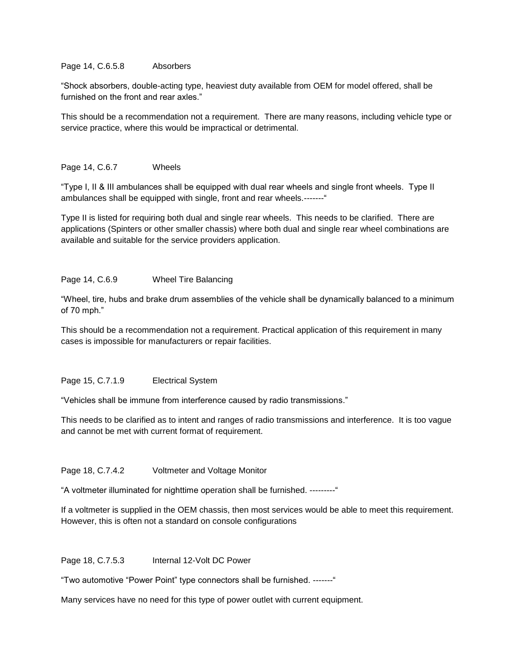### Page 14, C.6.5.8 Absorbers

"Shock absorbers, double-acting type, heaviest duty available from OEM for model offered, shall be furnished on the front and rear axles."

This should be a recommendation not a requirement. There are many reasons, including vehicle type or service practice, where this would be impractical or detrimental.

### Page 14, C.6.7 Wheels

"Type I, II & III ambulances shall be equipped with dual rear wheels and single front wheels. Type II ambulances shall be equipped with single, front and rear wheels.-------"

Type II is listed for requiring both dual and single rear wheels. This needs to be clarified. There are applications (Spinters or other smaller chassis) where both dual and single rear wheel combinations are available and suitable for the service providers application.

## Page 14, C.6.9 Wheel Tire Balancing

"Wheel, tire, hubs and brake drum assemblies of the vehicle shall be dynamically balanced to a minimum of 70 mph."

This should be a recommendation not a requirement. Practical application of this requirement in many cases is impossible for manufacturers or repair facilities.

#### Page 15, C.7.1.9 Electrical System

"Vehicles shall be immune from interference caused by radio transmissions."

This needs to be clarified as to intent and ranges of radio transmissions and interference. It is too vague and cannot be met with current format of requirement.

# Page 18, C.7.4.2 Voltmeter and Voltage Monitor

"A voltmeter illuminated for nighttime operation shall be furnished. ---------"

If a voltmeter is supplied in the OEM chassis, then most services would be able to meet this requirement. However, this is often not a standard on console configurations

Page 18, C.7.5.3 Internal 12-Volt DC Power

"Two automotive "Power Point" type connectors shall be furnished. -------"

Many services have no need for this type of power outlet with current equipment.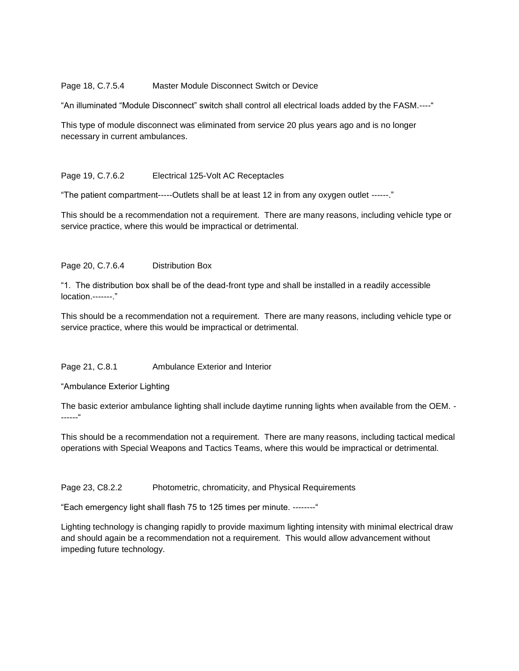### Page 18, C.7.5.4 Master Module Disconnect Switch or Device

"An illuminated "Module Disconnect" switch shall control all electrical loads added by the FASM.----"

This type of module disconnect was eliminated from service 20 plus years ago and is no longer necessary in current ambulances.

## Page 19, C.7.6.2 Electrical 125-Volt AC Receptacles

"The patient compartment-----Outlets shall be at least 12 in from any oxygen outlet ------."

This should be a recommendation not a requirement. There are many reasons, including vehicle type or service practice, where this would be impractical or detrimental.

# Page 20, C.7.6.4 Distribution Box

"1. The distribution box shall be of the dead-front type and shall be installed in a readily accessible location.-------."

This should be a recommendation not a requirement. There are many reasons, including vehicle type or service practice, where this would be impractical or detrimental.

#### Page 21, C.8.1 Ambulance Exterior and Interior

"Ambulance Exterior Lighting

The basic exterior ambulance lighting shall include daytime running lights when available from the OEM. - ------"

This should be a recommendation not a requirement. There are many reasons, including tactical medical operations with Special Weapons and Tactics Teams, where this would be impractical or detrimental.

# Page 23, C8.2.2 Photometric, chromaticity, and Physical Requirements

"Each emergency light shall flash 75 to 125 times per minute. --------"

Lighting technology is changing rapidly to provide maximum lighting intensity with minimal electrical draw and should again be a recommendation not a requirement. This would allow advancement without impeding future technology.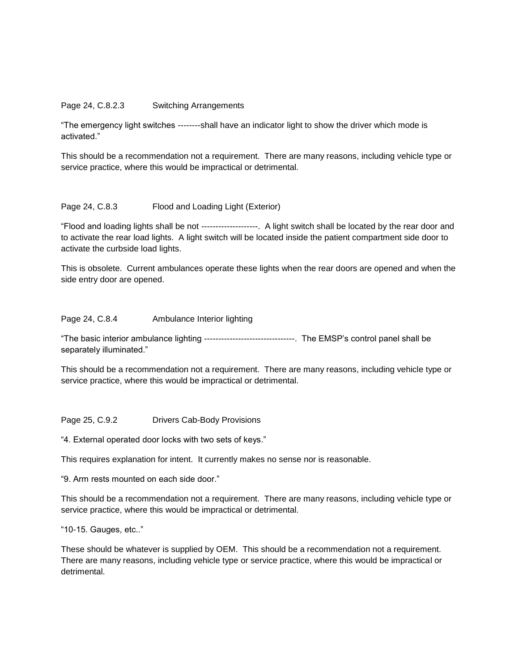#### Page 24, C.8.2.3 Switching Arrangements

"The emergency light switches --------shall have an indicator light to show the driver which mode is activated."

This should be a recommendation not a requirement. There are many reasons, including vehicle type or service practice, where this would be impractical or detrimental.

#### Page 24, C.8.3 Flood and Loading Light (Exterior)

"Flood and loading lights shall be not --------------------. A light switch shall be located by the rear door and to activate the rear load lights. A light switch will be located inside the patient compartment side door to activate the curbside load lights.

This is obsolete. Current ambulances operate these lights when the rear doors are opened and when the side entry door are opened.

#### Page 24, C.8.4 Ambulance Interior lighting

"The basic interior ambulance lighting --------------------------------. The EMSP's control panel shall be separately illuminated."

This should be a recommendation not a requirement. There are many reasons, including vehicle type or service practice, where this would be impractical or detrimental.

Page 25, C.9.2 Drivers Cab-Body Provisions

"4. External operated door locks with two sets of keys."

This requires explanation for intent. It currently makes no sense nor is reasonable.

"9. Arm rests mounted on each side door."

This should be a recommendation not a requirement. There are many reasons, including vehicle type or service practice, where this would be impractical or detrimental.

"10-15. Gauges, etc.."

These should be whatever is supplied by OEM. This should be a recommendation not a requirement. There are many reasons, including vehicle type or service practice, where this would be impractical or detrimental.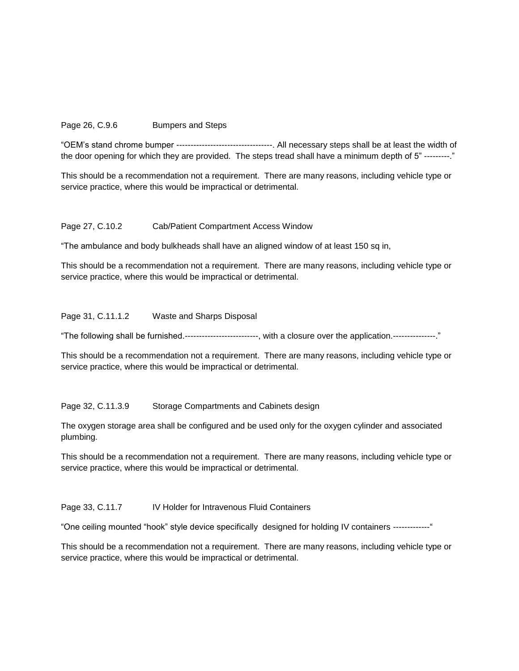## Page 26, C.9.6 Bumpers and Steps

"OEM's stand chrome bumper ----------------------------------. All necessary steps shall be at least the width of the door opening for which they are provided. The steps tread shall have a minimum depth of 5" ---------."

This should be a recommendation not a requirement. There are many reasons, including vehicle type or service practice, where this would be impractical or detrimental.

#### Page 27, C.10.2 Cab/Patient Compartment Access Window

"The ambulance and body bulkheads shall have an aligned window of at least 150 sq in,

This should be a recommendation not a requirement. There are many reasons, including vehicle type or service practice, where this would be impractical or detrimental.

#### Page 31, C.11.1.2 Waste and Sharps Disposal

"The following shall be furnished.--------------------------, with a closure over the application.---------------."

This should be a recommendation not a requirement. There are many reasons, including vehicle type or service practice, where this would be impractical or detrimental.

Page 32, C.11.3.9 Storage Compartments and Cabinets design

The oxygen storage area shall be configured and be used only for the oxygen cylinder and associated plumbing.

This should be a recommendation not a requirement. There are many reasons, including vehicle type or service practice, where this would be impractical or detrimental.

#### Page 33, C.11.7 IV Holder for Intravenous Fluid Containers

"One ceiling mounted "hook" style device specifically designed for holding IV containers -------------"

This should be a recommendation not a requirement. There are many reasons, including vehicle type or service practice, where this would be impractical or detrimental.